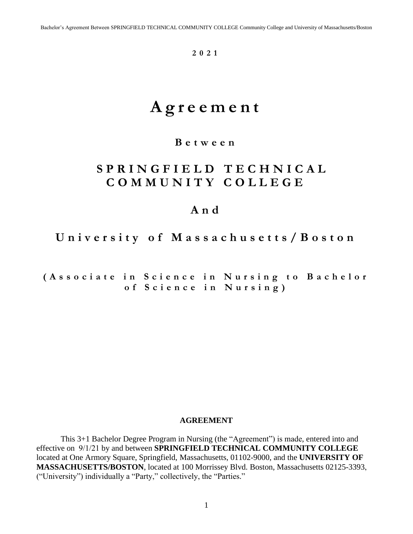**2 0 21** 

# **A g r e e m e n t**

# **B e t w e e n**

# **S P R I N G F I E L D T E C H N I C A L C O M M U N I T Y C O L L E G E**

# **A n d**

 **U n i v e r s i t y o f M a s s a c h u s e t t s / B o s t o n** 

 **( A s s o c i a t e i n S c i e n c e i n N u r s i n g t o B a c h e l o r o f S c i e n c e i n N u r s i n g )** 

#### **AGREEMENT**

This 3+1 Bachelor Degree Program in Nursing (the "Agreement") is made, entered into and effective on 9/1/21 by and between **SPRINGFIELD TECHNICAL COMMUNITY COLLEGE**  located at One Armory Square, Springfield, Massachusetts, 01102-9000, and the **UNIVERSITY OF MASSACHUSETTS/BOSTON**, located at 100 Morrissey Blvd. Boston, Massachusetts 02125-3393, ("University") individually a "Party," collectively, the "Parties."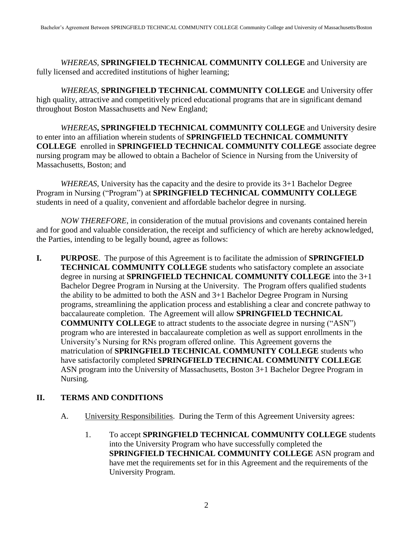*WHEREAS*, **SPRINGFIELD TECHNICAL COMMUNITY COLLEGE** and University are fully licensed and accredited institutions of higher learning;

*WHEREAS*, **SPRINGFIELD TECHNICAL COMMUNITY COLLEGE** and University offer high quality, attractive and competitively priced educational programs that are in significant demand throughout Boston Massachusetts and New England;

*WHEREAS***, SPRINGFIELD TECHNICAL COMMUNITY COLLEGE** and University desire to enter into an affiliation wherein students of **SPRINGFIELD TECHNICAL COMMUNITY COLLEGE** enrolled in **SPRINGFIELD TECHNICAL COMMUNITY COLLEGE** associate degree nursing program may be allowed to obtain a Bachelor of Science in Nursing from the University of Massachusetts, Boston; and

 Program in Nursing ("Program") at **SPRINGFIELD TECHNICAL COMMUNITY COLLEGE**  *WHEREAS*, University has the capacity and the desire to provide its 3+1 Bachelor Degree students in need of a quality, convenient and affordable bachelor degree in nursing.

*NOW THEREFORE*, in consideration of the mutual provisions and covenants contained herein and for good and valuable consideration, the receipt and sufficiency of which are hereby acknowledged, the Parties, intending to be legally bound, agree as follows:

**I. PURPOSE**. The purpose of this Agreement is to facilitate the admission of **SPRINGFIELD TECHNICAL COMMUNITY COLLEGE** students who satisfactory complete an associate degree in nursing at **SPRINGFIELD TECHNICAL COMMUNITY COLLEGE** into the 3+1 Bachelor Degree Program in Nursing at the University. The Program offers qualified students the ability to be admitted to both the ASN and 3+1 Bachelor Degree Program in Nursing programs, streamlining the application process and establishing a clear and concrete pathway to baccalaureate completion. The Agreement will allow **SPRINGFIELD TECHNICAL COMMUNITY COLLEGE** to attract students to the associate degree in nursing ("ASN") program who are interested in baccalaureate completion as well as support enrollments in the University's Nursing for RNs program offered online. This Agreement governs the matriculation of **SPRINGFIELD TECHNICAL COMMUNITY COLLEGE** students who have satisfactorily completed **SPRINGFIELD TECHNICAL COMMUNITY COLLEGE**  ASN program into the University of Massachusetts, Boston 3+1 Bachelor Degree Program in Nursing.

# **II. TERMS AND CONDITIONS**

- A. University Responsibilities. During the Term of this Agreement University agrees:
	- 1. To accept **SPRINGFIELD TECHNICAL COMMUNITY COLLEGE** students into the University Program who have successfully completed the **SPRINGFIELD TECHNICAL COMMUNITY COLLEGE** ASN program and have met the requirements set for in this Agreement and the requirements of the University Program.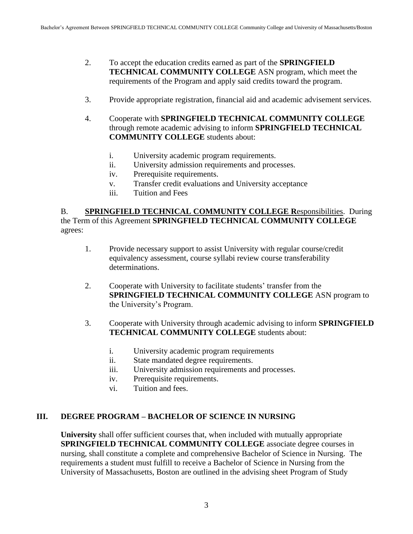- 2. To accept the education credits earned as part of the **SPRINGFIELD TECHNICAL COMMUNITY COLLEGE** ASN program, which meet the requirements of the Program and apply said credits toward the program.
- 3. Provide appropriate registration, financial aid and academic advisement services.
- 4. Cooperate with **SPRINGFIELD TECHNICAL COMMUNITY COLLEGE**  through remote academic advising to inform **SPRINGFIELD TECHNICAL COMMUNITY COLLEGE** students about:
	- i. University academic program requirements.
	- ii. University admission requirements and processes.
	- iv. Prerequisite requirements.
	- v. Transfer credit evaluations and University acceptance
	- iii. Tuition and Fees

### B. **SPRINGFIELD TECHNICAL COMMUNITY COLLEGE R**esponsibilities. During the Term of this Agreement **SPRINGFIELD TECHNICAL COMMUNITY COLLEGE**  agrees:

- 1. Provide necessary support to assist University with regular course/credit equivalency assessment, course syllabi review course transferability determinations.
- 2. Cooperate with University to facilitate students' transfer from the **SPRINGFIELD TECHNICAL COMMUNITY COLLEGE** ASN program to the University's Program.
- 3. Cooperate with University through academic advising to inform **SPRINGFIELD TECHNICAL COMMUNITY COLLEGE** students about:
	- i. University academic program requirements
	- ii. State mandated degree requirements.
	- iii. University admission requirements and processes.
	- iv. Prerequisite requirements.
	- vi. Tuition and fees.

#### **III. DEGREE PROGRAM – BACHELOR OF SCIENCE IN NURSING**

**University** shall offer sufficient courses that, when included with mutually appropriate **SPRINGFIELD TECHNICAL COMMUNITY COLLEGE** associate degree courses in nursing, shall constitute a complete and comprehensive Bachelor of Science in Nursing. The requirements a student must fulfill to receive a Bachelor of Science in Nursing from the University of Massachusetts, Boston are outlined in the advising sheet Program of Study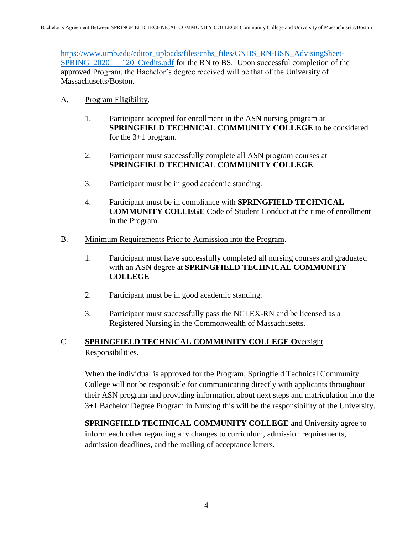[https://www.umb.edu/editor\\_uploads/files/cnhs\\_files/CNHS\\_RN-BSN\\_AdvisingSheet-](https://www.umb.edu/editor_uploads/files/cnhs_files/CNHS_RN-BSN_AdvisingSheet-SPRING_2020___120_Credits.pdf)[SPRING\\_2020\\_\\_\\_120\\_Credits.pdf](https://www.umb.edu/editor_uploads/files/cnhs_files/CNHS_RN-BSN_AdvisingSheet-SPRING_2020___120_Credits.pdf) for the RN to BS. Upon successful completion of the approved Program, the Bachelor's degree received will be that of the University of Massachusetts/Boston.

- A. Program Eligibility.
	- 1. Participant accepted for enrollment in the ASN nursing program at **SPRINGFIELD TECHNICAL COMMUNITY COLLEGE** to be considered for the 3+1 program.
	- 2. Participant must successfully complete all ASN program courses at **SPRINGFIELD TECHNICAL COMMUNITY COLLEGE**.
	- 3. Participant must be in good academic standing.
	- 4. Participant must be in compliance with **SPRINGFIELD TECHNICAL COMMUNITY COLLEGE** Code of Student Conduct at the time of enrollment in the Program.
- B. Minimum Requirements Prior to Admission into the Program.
	- 1. Participant must have successfully completed all nursing courses and graduated with an ASN degree at **SPRINGFIELD TECHNICAL COMMUNITY COLLEGE**
	- 2. Participant must be in good academic standing.
	- 3. Participant must successfully pass the NCLEX-RN and be licensed as a Registered Nursing in the Commonwealth of Massachusetts.

# C. **SPRINGFIELD TECHNICAL COMMUNITY COLLEGE O**versight Responsibilities.

When the individual is approved for the Program, Springfield Technical Community College will not be responsible for communicating directly with applicants throughout their ASN program and providing information about next steps and matriculation into the 3+1 Bachelor Degree Program in Nursing this will be the responsibility of the University.

**SPRINGFIELD TECHNICAL COMMUNITY COLLEGE** and University agree to inform each other regarding any changes to curriculum, admission requirements, admission deadlines, and the mailing of acceptance letters.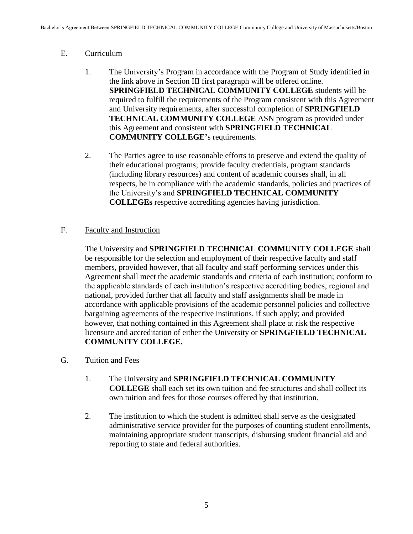# E. Curriculum

- 1. The University's Program in accordance with the Program of Study identified in the link above in Section III first paragraph will be offered online. **SPRINGFIELD TECHNICAL COMMUNITY COLLEGE** students will be required to fulfill the requirements of the Program consistent with this Agreement and University requirements, after successful completion of **SPRINGFIELD TECHNICAL COMMUNITY COLLEGE** ASN program as provided under this Agreement and consistent with **SPRINGFIELD TECHNICAL COMMUNITY COLLEGE'**s requirements.
- **COLLEGEs** respective accrediting agencies having jurisdiction. 2. The Parties agree to use reasonable efforts to preserve and extend the quality of their educational programs; provide faculty credentials, program standards (including library resources) and content of academic courses shall, in all respects, be in compliance with the academic standards, policies and practices of the University's and **SPRINGFIELD TECHNICAL COMMUNITY**

# F. Faculty and Instruction

 be responsible for the selection and employment of their respective faculty and staff The University and **SPRINGFIELD TECHNICAL COMMUNITY COLLEGE** shall members, provided however, that all faculty and staff performing services under this Agreement shall meet the academic standards and criteria of each institution; conform to the applicable standards of each institution's respective accrediting bodies, regional and national, provided further that all faculty and staff assignments shall be made in accordance with applicable provisions of the academic personnel policies and collective bargaining agreements of the respective institutions, if such apply; and provided however, that nothing contained in this Agreement shall place at risk the respective licensure and accreditation of either the University or **SPRINGFIELD TECHNICAL COMMUNITY COLLEGE.** 

- G. Tuition and Fees
	- 1. The University and **SPRINGFIELD TECHNICAL COMMUNITY COLLEGE** shall each set its own tuition and fee structures and shall collect its own tuition and fees for those courses offered by that institution.
	- 2. The institution to which the student is admitted shall serve as the designated administrative service provider for the purposes of counting student enrollments, maintaining appropriate student transcripts, disbursing student financial aid and reporting to state and federal authorities.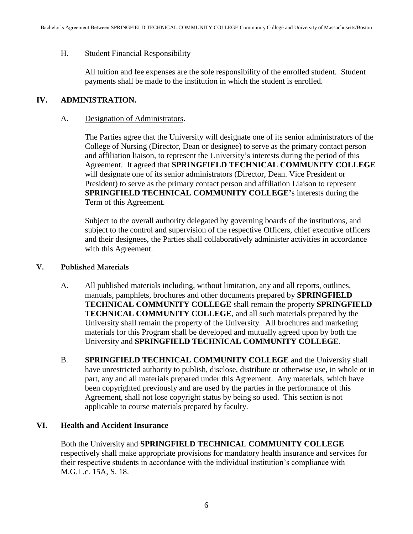#### H. Student Financial Responsibility

All tuition and fee expenses are the sole responsibility of the enrolled student. Student payments shall be made to the institution in which the student is enrolled.

#### **IV. ADMINISTRATION.**

#### A. Designation of Administrators.

The Parties agree that the University will designate one of its senior administrators of the College of Nursing (Director, Dean or designee) to serve as the primary contact person and affiliation liaison, to represent the University's interests during the period of this Agreement. It agreed that **SPRINGFIELD TECHNICAL COMMUNITY COLLEGE**  will designate one of its senior administrators (Director, Dean. Vice President or President) to serve as the primary contact person and affiliation Liaison to represent **SPRINGFIELD TECHNICAL COMMUNITY COLLEGE'**s interests during the Term of this Agreement.

Subject to the overall authority delegated by governing boards of the institutions, and subject to the control and supervision of the respective Officers, chief executive officers and their designees, the Parties shall collaboratively administer activities in accordance with this Agreement.

#### **V. Published Materials**

- A. All published materials including, without limitation, any and all reports, outlines, manuals, pamphlets, brochures and other documents prepared by **SPRINGFIELD TECHNICAL COMMUNITY COLLEGE** shall remain the property **SPRINGFIELD TECHNICAL COMMUNITY COLLEGE**, and all such materials prepared by the University shall remain the property of the University. All brochures and marketing materials for this Program shall be developed and mutually agreed upon by both the University and **SPRINGFIELD TECHNICAL COMMUNITY COLLEGE***.*
- B. **SPRINGFIELD TECHNICAL COMMUNITY COLLEGE** and the University shall have unrestricted authority to publish, disclose, distribute or otherwise use, in whole or in part, any and all materials prepared under this Agreement. Any materials, which have been copyrighted previously and are used by the parties in the performance of this Agreement, shall not lose copyright status by being so used. This section is not applicable to course materials prepared by faculty.

#### **VI. Health and Accident Insurance**

Both the University and **SPRINGFIELD TECHNICAL COMMUNITY COLLEGE**  respectively shall make appropriate provisions for mandatory health insurance and services for their respective students in accordance with the individual institution's compliance with M.G.L.c. 15A, S. 18.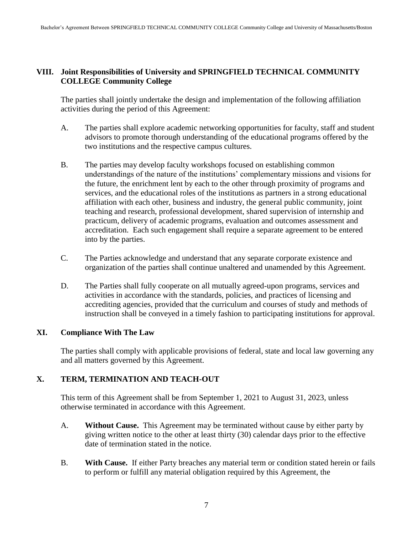# **VIII. Joint Responsibilities of University and SPRINGFIELD TECHNICAL COMMUNITY COLLEGE Community College**

The parties shall jointly undertake the design and implementation of the following affiliation activities during the period of this Agreement:

- A. The parties shall explore academic networking opportunities for faculty, staff and student advisors to promote thorough understanding of the educational programs offered by the two institutions and the respective campus cultures.
- accreditation. Each such engagement shall require a separate agreement to be entered B. The parties may develop faculty workshops focused on establishing common understandings of the nature of the institutions' complementary missions and visions for the future, the enrichment lent by each to the other through proximity of programs and services, and the educational roles of the institutions as partners in a strong educational affiliation with each other, business and industry, the general public community, joint teaching and research, professional development, shared supervision of internship and practicum, delivery of academic programs, evaluation and outcomes assessment and into by the parties.
- C. The Parties acknowledge and understand that any separate corporate existence and organization of the parties shall continue unaltered and unamended by this Agreement.
- D. The Parties shall fully cooperate on all mutually agreed-upon programs, services and activities in accordance with the standards, policies, and practices of licensing and accrediting agencies, provided that the curriculum and courses of study and methods of instruction shall be conveyed in a timely fashion to participating institutions for approval.

# **XI. Compliance With The Law**

The parties shall comply with applicable provisions of federal, state and local law governing any and all matters governed by this Agreement.

# **X. TERM, TERMINATION AND TEACH-OUT**

This term of this Agreement shall be from September 1, 2021 to August 31, 2023, unless otherwise terminated in accordance with this Agreement.

- A. **Without Cause.** This Agreement may be terminated without cause by either party by giving written notice to the other at least thirty (30) calendar days prior to the effective date of termination stated in the notice.
- B. **With Cause.** If either Party breaches any material term or condition stated herein or fails to perform or fulfill any material obligation required by this Agreement, the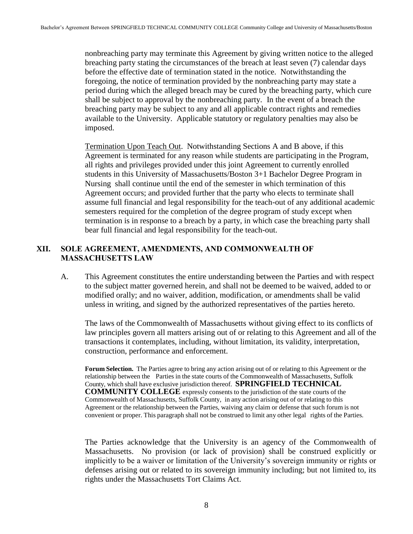nonbreaching party may terminate this Agreement by giving written notice to the alleged shall be subject to approval by the nonbreaching party. In the event of a breach the available to the University. Applicable statutory or regulatory penalties may also be breaching party stating the circumstances of the breach at least seven (7) calendar days before the effective date of termination stated in the notice. Notwithstanding the foregoing, the notice of termination provided by the nonbreaching party may state a period during which the alleged breach may be cured by the breaching party, which cure breaching party may be subject to any and all applicable contract rights and remedies imposed.

Termination Upon Teach Out. Notwithstanding Sections A and B above, if this Agreement is terminated for any reason while students are participating in the Program, all rights and privileges provided under this joint Agreement to currently enrolled students in this University of Massachusetts/Boston 3+1 Bachelor Degree Program in Nursing shall continue until the end of the semester in which termination of this Agreement occurs; and provided further that the party who elects to terminate shall assume full financial and legal responsibility for the teach-out of any additional academic semesters required for the completion of the degree program of study except when termination is in response to a breach by a party, in which case the breaching party shall bear full financial and legal responsibility for the teach-out.

### **XII. SOLE AGREEMENT, AMENDMENTS, AND COMMONWEALTH OF MASSACHUSETTS LAW**

A. This Agreement constitutes the entire understanding between the Parties and with respect to the subject matter governed herein, and shall not be deemed to be waived, added to or modified orally; and no waiver, addition, modification, or amendments shall be valid unless in writing, and signed by the authorized representatives of the parties hereto.

The laws of the Commonwealth of Massachusetts without giving effect to its conflicts of law principles govern all matters arising out of or relating to this Agreement and all of the transactions it contemplates, including, without limitation, its validity, interpretation, construction, performance and enforcement.

 relationship between the Parties in the state courts of the Commonwealth of Massachusetts, Suffolk Commonwealth of Massachusetts, Suffolk County, in any action arising out of or relating to this **Forum Selection.** The Parties agree to bring any action arising out of or relating to this Agreement or the County, which shall have exclusive jurisdiction thereof. **SPRINGFIELD TECHNICAL COMMUNITY COLLEGE** expressly consents to the jurisdiction of the state courts of the Agreement or the relationship between the Parties, waiving any claim or defense that such forum is not convenient or proper. This paragraph shall not be construed to limit any other legal rights of the Parties.

 The Parties acknowledge that the University is an agency of the Commonwealth of Massachusetts. No provision (or lack of provision) shall be construed explicitly or implicitly to be a waiver or limitation of the University's sovereign immunity or rights or defenses arising out or related to its sovereign immunity including; but not limited to, its rights under the Massachusetts Tort Claims Act.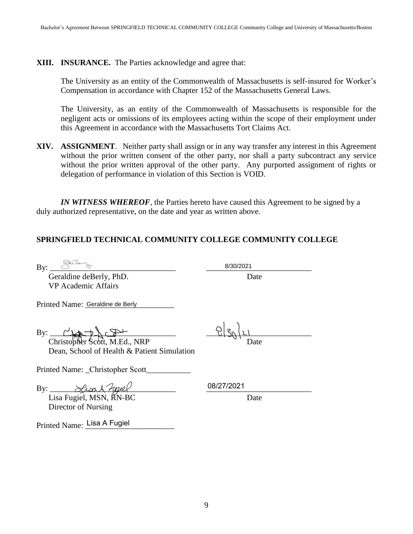#### **XIII. INSURANCE.** The Parties acknowledge and agree that:

 The University as an entity of the Commonwealth of Massachusetts is self-insured for Worker's Compensation in accordance with Chapter 152 of the Massachusetts General Laws.

 The University, as an entity of the Commonwealth of Massachusetts is responsible for the negligent acts or omissions of its employees acting within the scope of their employment under this Agreement in accordance with the Massachusetts Tort Claims Act.

 **XIV. ASSIGNMENT**. Neither party shall assign or in any way transfer any interest in this Agreement without the prior written consent of the other party, nor shall a party subcontract any service without the prior written approval of the other party. Any purported assignment of rights or delegation of performance in violation of this Section is VOID.

*IN WITNESS WHEREOF*, the Parties hereto have caused this Agreement to be signed by a duly authorized representative, on the date and year as written above.

# **SPRINGFIELD TECHNICAL COMMUNITY COLLEGE COMMUNITY COLLEGE**

Geraldine deBerly, PhD. Date VP Academic Affairs

 $By: \underline{\hspace{1cm}} 8/30/2021$ 

Printed Name: Geraldine de Berly

 $\text{By:}\quad \begin{array}{ccc} \text{By:} & \text{C} & \text{C} & \text{C} \\ \text{By:} & \text{C} & \text{C} & \text{C} \\ \end{array}$ 

Christopher Scott, M.Ed., NRP Date Dean, School of Health & Patient Simulation

Printed Name: \_Christopher Scott\_\_\_\_\_\_\_\_\_\_\_

By: \_\_\_\_\_\_\_\_\_\_\_\_\_\_\_\_\_\_\_\_\_\_\_\_\_\_\_\_\_\_\_ \_\_\_\_\_\_\_\_\_\_\_\_\_\_\_\_\_\_\_\_\_\_\_\_\_\_

Lisa Fugiel, MSN,  $\breve{R}N\text{-}BC$  Date Director of Nursing

08/27/2021

Printed Name: Lisa A Fugiel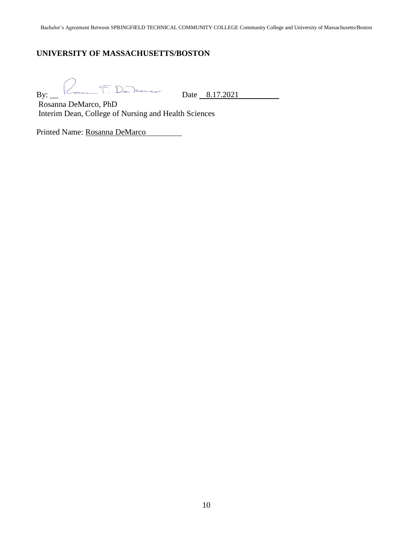# **UNIVERSITY OF MASSACHUSETTS/BOSTON**

 $By:$   $\begin{array}{|c|c|c|c|}\n\hline\n\end{array}$   $\begin{array}{|c|c|}\n\hline\n\end{array}$  Date 8.17.2021

Rosanna DeMarco, PhD Interim Dean, College of Nursing and Health Sciences

Printed Name: Rosanna DeMarco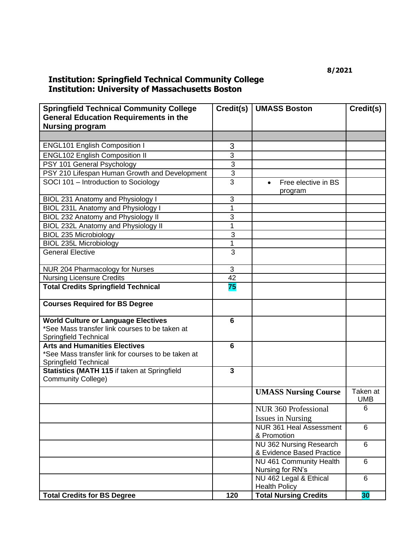# **Institution: Springfield Technical Community College Institution: University of Massachusetts Boston**

| <b>Springfield Technical Community College</b>                            | Credit(s)       | <b>UMASS Boston</b>                            | Credit(s)              |
|---------------------------------------------------------------------------|-----------------|------------------------------------------------|------------------------|
| <b>General Education Requirements in the</b>                              |                 |                                                |                        |
| <b>Nursing program</b>                                                    |                 |                                                |                        |
|                                                                           |                 |                                                |                        |
| <b>ENGL101 English Composition I</b>                                      | 3               |                                                |                        |
| <b>ENGL102 English Composition II</b>                                     | 3               |                                                |                        |
| PSY 101 General Psychology                                                | 3               |                                                |                        |
| PSY 210 Lifespan Human Growth and Development                             | 3               |                                                |                        |
| SOCI 101 - Introduction to Sociology                                      | 3               | Free elective in BS<br>$\bullet$               |                        |
|                                                                           |                 | program                                        |                        |
| BIOL 231 Anatomy and Physiology I                                         | 3               |                                                |                        |
| BIOL 231L Anatomy and Physiology I                                        | 1               |                                                |                        |
| BIOL 232 Anatomy and Physiology II                                        | 3               |                                                |                        |
| <b>BIOL 232L Anatomy and Physiology II</b>                                | $\mathbf{1}$    |                                                |                        |
| <b>BIOL 235 Microbiology</b>                                              | 3               |                                                |                        |
| <b>BIOL 235L Microbiology</b>                                             | 1               |                                                |                        |
| <b>General Elective</b>                                                   | 3               |                                                |                        |
| NUR 204 Pharmacology for Nurses                                           | 3               |                                                |                        |
| <b>Nursing Licensure Credits</b>                                          | 42              |                                                |                        |
| <b>Total Credits Springfield Technical</b>                                | 75              |                                                |                        |
| <b>Courses Required for BS Degree</b>                                     |                 |                                                |                        |
| <b>World Culture or Language Electives</b>                                | $6\phantom{1}6$ |                                                |                        |
| *See Mass transfer link courses to be taken at                            |                 |                                                |                        |
| Springfield Technical                                                     |                 |                                                |                        |
| <b>Arts and Humanities Electives</b>                                      | $6\phantom{1}6$ |                                                |                        |
| *See Mass transfer link for courses to be taken at                        |                 |                                                |                        |
| Springfield Technical                                                     |                 |                                                |                        |
| Statistics (MATH 115 if taken at Springfield<br><b>Community College)</b> | 3               |                                                |                        |
|                                                                           |                 | <b>UMASS Nursing Course</b>                    | Taken at<br><b>UMB</b> |
|                                                                           |                 | NUR 360 Professional                           | 6                      |
|                                                                           |                 | <b>Issues in Nursing</b>                       |                        |
|                                                                           |                 | <b>NUR 361 Heal Assessment</b>                 | 6                      |
|                                                                           |                 | & Promotion                                    |                        |
|                                                                           |                 | NU 362 Nursing Research                        | 6                      |
|                                                                           |                 | & Evidence Based Practice                      |                        |
|                                                                           |                 | NU 461 Community Health<br>Nursing for RN's    | 6                      |
|                                                                           |                 | NU 462 Legal & Ethical<br><b>Health Policy</b> | 6                      |
| <b>Total Credits for BS Degree</b>                                        | 120             | <b>Total Nursing Credits</b>                   | 30                     |
|                                                                           |                 |                                                |                        |